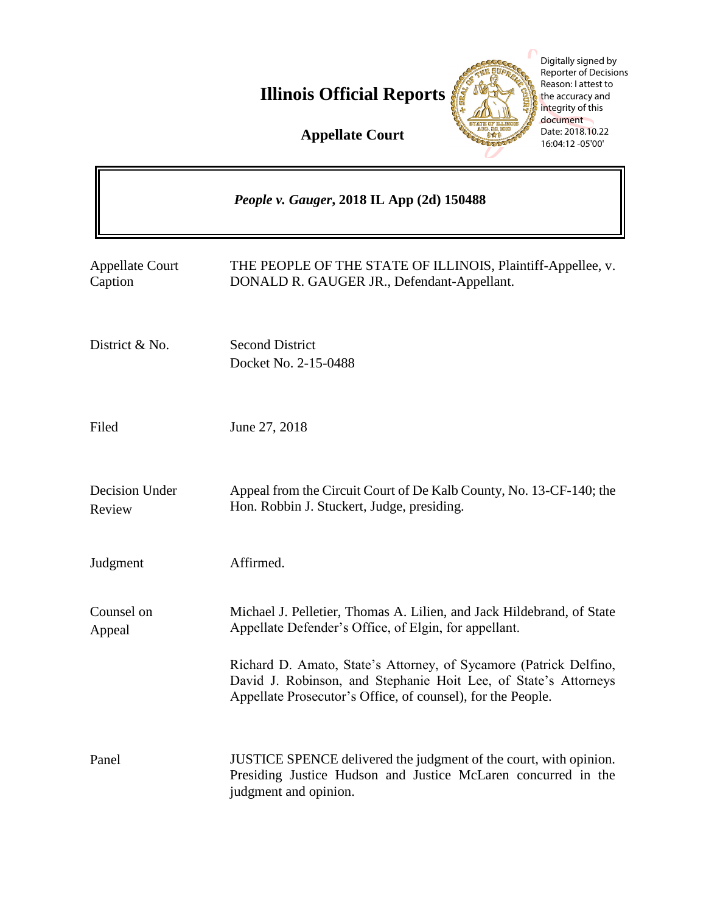**Illinois Official Reports** 



Digitally signed by Reporter of Decisions Reason: I attest to the accuracy and integrity of this document Date: 2018.10.22 16:04:12 -05'00'

**Appellate Court**

|                                   | People v. Gauger, 2018 IL App (2d) 150488                                                                                                                                                           |
|-----------------------------------|-----------------------------------------------------------------------------------------------------------------------------------------------------------------------------------------------------|
| <b>Appellate Court</b><br>Caption | THE PEOPLE OF THE STATE OF ILLINOIS, Plaintiff-Appellee, v.<br>DONALD R. GAUGER JR., Defendant-Appellant.                                                                                           |
| District & No.                    | <b>Second District</b><br>Docket No. 2-15-0488                                                                                                                                                      |
| Filed                             | June 27, 2018                                                                                                                                                                                       |
| Decision Under<br>Review          | Appeal from the Circuit Court of De Kalb County, No. 13-CF-140; the<br>Hon. Robbin J. Stuckert, Judge, presiding.                                                                                   |
| Judgment                          | Affirmed.                                                                                                                                                                                           |
| Counsel on<br>Appeal              | Michael J. Pelletier, Thomas A. Lilien, and Jack Hildebrand, of State<br>Appellate Defender's Office, of Elgin, for appellant.                                                                      |
|                                   | Richard D. Amato, State's Attorney, of Sycamore (Patrick Delfino,<br>David J. Robinson, and Stephanie Hoit Lee, of State's Attorneys<br>Appellate Prosecutor's Office, of counsel), for the People. |
| Panel                             | JUSTICE SPENCE delivered the judgment of the court, with opinion.<br>Presiding Justice Hudson and Justice McLaren concurred in the<br>judgment and opinion.                                         |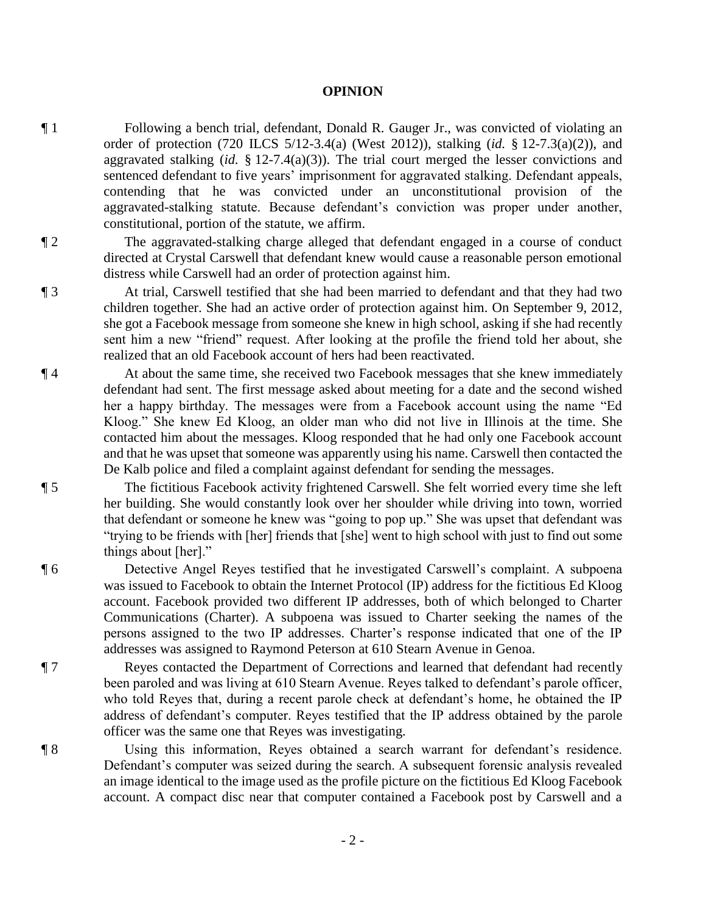## **OPINION**

- ¶ 1 Following a bench trial, defendant, Donald R. Gauger Jr., was convicted of violating an order of protection (720 ILCS 5/12-3.4(a) (West 2012)), stalking (*id.* § 12-7.3(a)(2)), and aggravated stalking (*id.* § 12-7.4(a)(3)). The trial court merged the lesser convictions and sentenced defendant to five years' imprisonment for aggravated stalking. Defendant appeals, contending that he was convicted under an unconstitutional provision of the aggravated-stalking statute. Because defendant's conviction was proper under another, constitutional, portion of the statute, we affirm.
- ¶ 2 The aggravated-stalking charge alleged that defendant engaged in a course of conduct directed at Crystal Carswell that defendant knew would cause a reasonable person emotional distress while Carswell had an order of protection against him.
- ¶ 3 At trial, Carswell testified that she had been married to defendant and that they had two children together. She had an active order of protection against him. On September 9, 2012, she got a Facebook message from someone she knew in high school, asking if she had recently sent him a new "friend" request. After looking at the profile the friend told her about, she realized that an old Facebook account of hers had been reactivated.
- ¶ 4 At about the same time, she received two Facebook messages that she knew immediately defendant had sent. The first message asked about meeting for a date and the second wished her a happy birthday. The messages were from a Facebook account using the name "Ed Kloog." She knew Ed Kloog, an older man who did not live in Illinois at the time. She contacted him about the messages. Kloog responded that he had only one Facebook account and that he was upset that someone was apparently using his name. Carswell then contacted the De Kalb police and filed a complaint against defendant for sending the messages.
- ¶ 5 The fictitious Facebook activity frightened Carswell. She felt worried every time she left her building. She would constantly look over her shoulder while driving into town, worried that defendant or someone he knew was "going to pop up." She was upset that defendant was "trying to be friends with [her] friends that [she] went to high school with just to find out some things about [her]."
- ¶ 6 Detective Angel Reyes testified that he investigated Carswell's complaint. A subpoena was issued to Facebook to obtain the Internet Protocol (IP) address for the fictitious Ed Kloog account. Facebook provided two different IP addresses, both of which belonged to Charter Communications (Charter). A subpoena was issued to Charter seeking the names of the persons assigned to the two IP addresses. Charter's response indicated that one of the IP addresses was assigned to Raymond Peterson at 610 Stearn Avenue in Genoa.
- ¶ 7 Reyes contacted the Department of Corrections and learned that defendant had recently been paroled and was living at 610 Stearn Avenue. Reyes talked to defendant's parole officer, who told Reyes that, during a recent parole check at defendant's home, he obtained the IP address of defendant's computer. Reyes testified that the IP address obtained by the parole officer was the same one that Reyes was investigating.
- ¶ 8 Using this information, Reyes obtained a search warrant for defendant's residence. Defendant's computer was seized during the search. A subsequent forensic analysis revealed an image identical to the image used as the profile picture on the fictitious Ed Kloog Facebook account. A compact disc near that computer contained a Facebook post by Carswell and a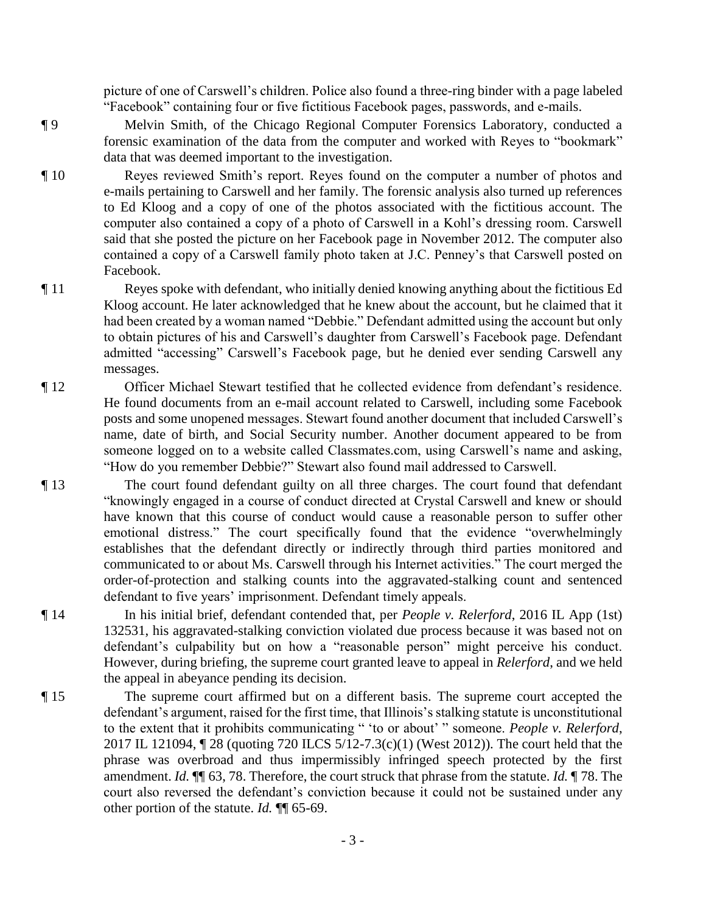picture of one of Carswell's children. Police also found a three-ring binder with a page labeled "Facebook" containing four or five fictitious Facebook pages, passwords, and e-mails.

- ¶ 9 Melvin Smith, of the Chicago Regional Computer Forensics Laboratory, conducted a forensic examination of the data from the computer and worked with Reyes to "bookmark" data that was deemed important to the investigation.
- ¶ 10 Reyes reviewed Smith's report. Reyes found on the computer a number of photos and e-mails pertaining to Carswell and her family. The forensic analysis also turned up references to Ed Kloog and a copy of one of the photos associated with the fictitious account. The computer also contained a copy of a photo of Carswell in a Kohl's dressing room. Carswell said that she posted the picture on her Facebook page in November 2012. The computer also contained a copy of a Carswell family photo taken at J.C. Penney's that Carswell posted on Facebook.
- ¶ 11 Reyes spoke with defendant, who initially denied knowing anything about the fictitious Ed Kloog account. He later acknowledged that he knew about the account, but he claimed that it had been created by a woman named "Debbie." Defendant admitted using the account but only to obtain pictures of his and Carswell's daughter from Carswell's Facebook page. Defendant admitted "accessing" Carswell's Facebook page, but he denied ever sending Carswell any messages.
- ¶ 12 Officer Michael Stewart testified that he collected evidence from defendant's residence. He found documents from an e-mail account related to Carswell, including some Facebook posts and some unopened messages. Stewart found another document that included Carswell's name, date of birth, and Social Security number. Another document appeared to be from someone logged on to a website called Classmates.com, using Carswell's name and asking, "How do you remember Debbie?" Stewart also found mail addressed to Carswell.
- ¶ 13 The court found defendant guilty on all three charges. The court found that defendant "knowingly engaged in a course of conduct directed at Crystal Carswell and knew or should have known that this course of conduct would cause a reasonable person to suffer other emotional distress." The court specifically found that the evidence "overwhelmingly establishes that the defendant directly or indirectly through third parties monitored and communicated to or about Ms. Carswell through his Internet activities." The court merged the order-of-protection and stalking counts into the aggravated-stalking count and sentenced defendant to five years' imprisonment. Defendant timely appeals.
- ¶ 14 In his initial brief, defendant contended that, per *People v. Relerford*, 2016 IL App (1st) 132531, his aggravated-stalking conviction violated due process because it was based not on defendant's culpability but on how a "reasonable person" might perceive his conduct. However, during briefing, the supreme court granted leave to appeal in *Relerford*, and we held the appeal in abeyance pending its decision.
- ¶ 15 The supreme court affirmed but on a different basis. The supreme court accepted the defendant's argument, raised for the first time, that Illinois's stalking statute is unconstitutional to the extent that it prohibits communicating " 'to or about' " someone. *People v. Relerford*, 2017 IL 121094, ¶ 28 (quoting 720 ILCS 5/12-7.3(c)(1) (West 2012)). The court held that the phrase was overbroad and thus impermissibly infringed speech protected by the first amendment. *Id.* ¶¶ 63, 78. Therefore, the court struck that phrase from the statute. *Id.* ¶ 78. The court also reversed the defendant's conviction because it could not be sustained under any other portion of the statute. *Id.* ¶¶ 65-69.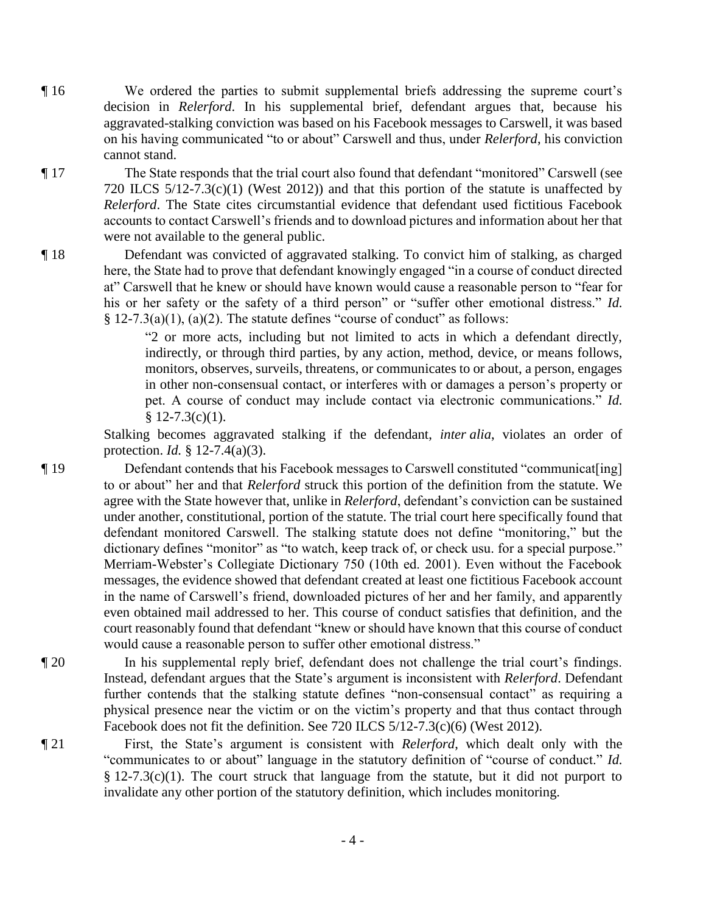¶ 16 We ordered the parties to submit supplemental briefs addressing the supreme court's decision in *Relerford*. In his supplemental brief, defendant argues that, because his aggravated-stalking conviction was based on his Facebook messages to Carswell, it was based on his having communicated "to or about" Carswell and thus, under *Relerford*, his conviction cannot stand.

¶ 17 The State responds that the trial court also found that defendant "monitored" Carswell (see 720 ILCS 5/12-7.3(c)(1) (West 2012)) and that this portion of the statute is unaffected by *Relerford*. The State cites circumstantial evidence that defendant used fictitious Facebook accounts to contact Carswell's friends and to download pictures and information about her that were not available to the general public.

¶ 18 Defendant was convicted of aggravated stalking. To convict him of stalking, as charged here, the State had to prove that defendant knowingly engaged "in a course of conduct directed at" Carswell that he knew or should have known would cause a reasonable person to "fear for his or her safety or the safety of a third person" or "suffer other emotional distress." *Id.*  $§$  12-7.3(a)(1), (a)(2). The statute defines "course of conduct" as follows:

> "2 or more acts, including but not limited to acts in which a defendant directly, indirectly, or through third parties, by any action, method, device, or means follows, monitors, observes, surveils, threatens, or communicates to or about, a person, engages in other non-consensual contact, or interferes with or damages a person's property or pet. A course of conduct may include contact via electronic communications." *Id.*  $$12-7.3(c)(1).$

Stalking becomes aggravated stalking if the defendant, *inter alia*, violates an order of protection. *Id.* § 12-7.4(a)(3).

¶ 19 Defendant contends that his Facebook messages to Carswell constituted "communicat[ing] to or about" her and that *Relerford* struck this portion of the definition from the statute. We agree with the State however that, unlike in *Relerford*, defendant's conviction can be sustained under another, constitutional, portion of the statute. The trial court here specifically found that defendant monitored Carswell. The stalking statute does not define "monitoring," but the dictionary defines "monitor" as "to watch, keep track of, or check usu. for a special purpose." Merriam-Webster's Collegiate Dictionary 750 (10th ed. 2001). Even without the Facebook messages, the evidence showed that defendant created at least one fictitious Facebook account in the name of Carswell's friend, downloaded pictures of her and her family, and apparently even obtained mail addressed to her. This course of conduct satisfies that definition, and the court reasonably found that defendant "knew or should have known that this course of conduct would cause a reasonable person to suffer other emotional distress."

- ¶ 20 In his supplemental reply brief, defendant does not challenge the trial court's findings. Instead, defendant argues that the State's argument is inconsistent with *Relerford*. Defendant further contends that the stalking statute defines "non-consensual contact" as requiring a physical presence near the victim or on the victim's property and that thus contact through Facebook does not fit the definition. See 720 ILCS 5/12-7.3(c)(6) (West 2012).
- ¶ 21 First, the State's argument is consistent with *Relerford*, which dealt only with the "communicates to or about" language in the statutory definition of "course of conduct." *Id.* § 12-7.3(c)(1). The court struck that language from the statute, but it did not purport to invalidate any other portion of the statutory definition, which includes monitoring.